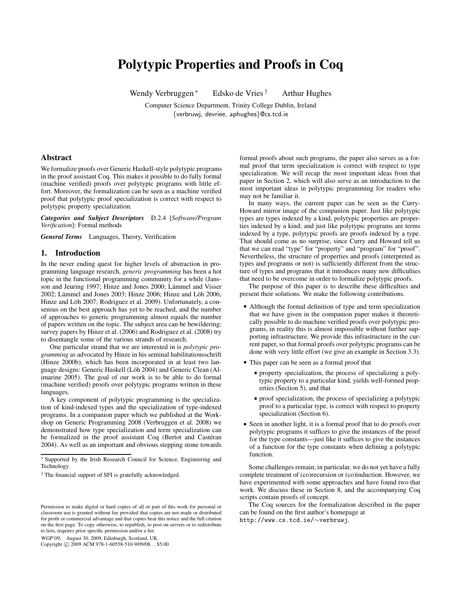# **Polytypic Properties and Proofs in Coq**

Wendy Verbruggen<sup>\*</sup> Edsko de Vries <sup>†</sup> Arthur Hughes

Computer Science Department, Trinity College Dublin, Ireland {verbruwj, devriee, aphughes}@cs.tcd.ie

# **Abstract**

We formalize proofs over Generic Haskell-style polytypic programs in the proof assistant Coq. This makes it possible to do fully formal (machine verified) proofs over polytypic programs with little effort. Moreover, the formalization can be seen as a machine verified proof that polytypic proof specialization is correct with respect to polytypic property specialization.

*Categories and Subject Descriptors* D.2.4 [*Software/Program Verification*]: Formal methods

*General Terms* Languages, Theory, Verification

## **1. Introduction**

In the never ending quest for higher levels of abstraction in programming language research, *generic programming* has been a hot topic in the functional programming community for a while (Jansson and Jeuring 1997; Hinze and Jones 2000; Lämmel and Visser 2002; Lämmel and Jones 2003; Hinze 2006; Hinze and Löh 2006; Hinze and Löh 2007; Rodriguez et al. 2009). Unfortunately, a consensus on the best approach has yet to be reached, and the number of approaches to generic programming almost equals the number of papers written on the topic. The subject area can be bewildering; survey papers by Hinze et al. (2006) and Rodriguez et al. (2008) try to disentangle some of the various strands of research.

One particular strand that we are interested in is *polytypic programming* as advocated by Hinze in his seminal habilitationsschrift (Hinze 2000b), which has been incorporated in at least two language designs: Generic Haskell (Löh 2004) and Generic Clean (Alimarine 2005). The goal of our work is to be able to do formal (machine verified) proofs over polytypic programs written in these languages.

A key component of polytypic programming is the specialization of kind-indexed types and the specialization of type-indexed programs. In a companion paper which we published at the Workshop on Generic Programming 2008 (Verbruggen et al. 2008) we demonstrated how type specialization and term specialization can be formalized in the proof assistant Coq (Bertot and Castéran 2004). As well as an important and obvious stepping stone towards

WGP'09, August 30, 2009, Edinburgh, Scotland, UK.

Copyright © 2009 ACM 978-1-60558-510-9/09/08... \$5.00

formal proofs about such programs, the paper also serves as a formal proof that term specialization is correct with respect to type specialization. We will recap the most important ideas from that paper in Section 2, which will also serve as an introduction to the most important ideas in polytypic programming for readers who may not be familiar it.

In many ways, the current paper can be seen as the Curry-Howard mirror image of the companion paper. Just like polytypic types are types indexed by a kind, polytypic properties are properties indexed by a kind; and just like polytypic programs are terms indexed by a type, polytypic proofs are proofs indexed by a type. That should come as no surprise, since Curry and Howard tell us that we can read "type" for "property" and "program" for "proof". Nevertheless, the structure of properties and proofs (interpreted as types and programs or not) is sufficiently different from the structure of types and programs that it introduces many new difficulties that need to be overcome in order to formalize polytypic proofs.

The purpose of this paper is to describe these difficulties and present their solutions. We make the following contributions.

- Although the formal definition of type and term specialization that we have given in the companion paper makes it theoretically possible to do machine verified proofs over polytypic programs, in reality this is almost impossible without further supporting infrastructure. We provide this infrastructure in the current paper, so that formal proofs over polytypic programs can be done with very little effort (we give an example in Section 3.3).
- This paper can be seen as a formal proof that
	- property specialization, the process of specializing a polytypic property to a particular kind, yields well-formed properties (Section 5), and that
	- proof specialization, the process of specializing a polytypic proof to a particular type, is correct with respect to property specialization (Section 6).
- Seen in another light, it is a formal proof that to do proofs over polytypic programs it suffices to give the instances of the proof for the type constants—just like it suffices to give the instances of a function for the type constants when defining a polytypic function.

Some challenges remain; in particular, we do not yet have a fully complete treatment of (co)recursion or (co)induction. However, we have experimented with some approaches and have found two that work. We discuss these in Section 8, and the accompanying Coq scripts contain proofs of concept.

The Coq sources for the formalization described in the paper can be found on the first author's homepage at http://www.cs.tcd.ie/∼verbruwj.

<sup>∗</sup> Supported by the Irish Research Council for Science, Engineering and Technology.

<sup>†</sup> The financial support of SFI is gratefully acknowledged.

Permission to make digital or hard copies of all or part of this work for personal or classroom use is granted without fee provided that copies are not made or distributed for profit or commercial advantage and that copies bear this notice and the full citation on the first page. To copy otherwise, to republish, to post on servers or to redistribute to lists, requires prior specific permission and/or a fee.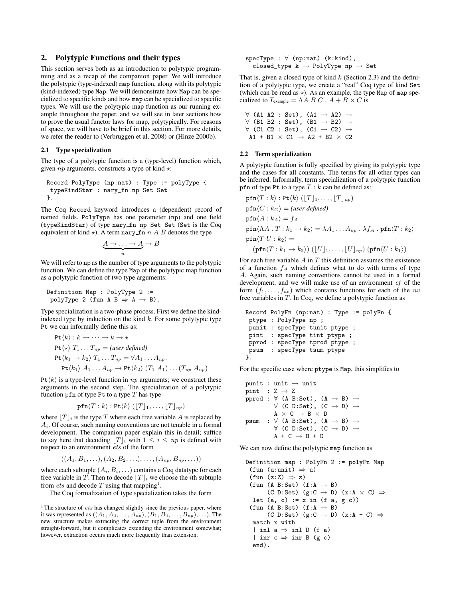# **2. Polytypic Functions and their types**

This section serves both as an introduction to polytypic programming and as a recap of the companion paper. We will introduce the polytypic (type-indexed) map function, along with its polytypic (kind-indexed) type Map. We will demonstrate how Map can be specialized to specific kinds and how map can be specialized to specific types. We will use the polytypic map function as our running example throughout the paper, and we will see in later sections how to prove the usual functor laws for map, polytypically. For reasons of space, we will have to be brief in this section. For more details, we refer the reader to (Verbruggen et al. 2008) or (Hinze 2000b).

### **2.1 Type specialization**

The type of a polytypic function is a (type-level) function which, given  $np$  arguments, constructs a type of kind  $\star$ :

```
Record PolyType (np:nat) : Type := polyType {
typeKindStar : nary_fn np Set Set
}.
```
The Coq Record keyword introduces a (dependent) record of named fields. PolyType has one parameter (np) and one field (typeKindStar) of type nary fn np Set Set (Set is the Coq equivalent of kind  $\star$ ). A term nary fn n A B denotes the type

$$
\underbrace{A \to \ldots \to A}_{n} \to B
$$

We will refer to np as the number of type arguments to the polytypic function. We can define the type Map of the polytypic map function as a polytypic function of two type arguments:

```
Definition Map : PolyType 2 :=
 polyType 2 (fun A B \Rightarrow A \rightarrow B).
```
Type specialization is a two-phase process. First we define the kindindexed type by induction on the kind  $k$ . For some polytypic type Pt we can informally define this as:

$$
\begin{aligned} \n\text{Pt}\langle k \rangle: k &\rightarrow \cdots \rightarrow k \rightarrow \star \\ \n\text{Pt}\langle \star \rangle \ T_1 \ldots T_{np} &= (\text{user defined}) \\ \n\text{Pt}\langle k_1 \rightarrow k_2 \rangle \ T_1 \ldots T_{np} &= \forall A_1 \ldots A_{np} \\ \n\text{Pt}\langle k_1 \rangle \ A_1 \ldots A_{np} &\rightarrow \text{Pt}\langle k_2 \rangle \ (T_1 \ A_1) \ldots (T_{np} \ A_{np}) \n\end{aligned}
$$

 $Pt\langle k \rangle$  is a type-level function in np arguments; we construct these arguments in the second step. The specialization of a polytypic function pfn of type Pt to a type  $T$  has type

$$
\texttt{pfn}\langle T:k\rangle:\texttt{Pt}\langle k\rangle\left(\lfloor T\rfloor_1,\ldots,\lfloor T\rfloor_{np}\right)
$$

where  $|T|_i$  is the type T where each free variable A is replaced by  $A_i$ . Of course, such naming conventions are not tenable in a formal development. The companion paper explain this in detail; suffice to say here that decoding  $|T|_i$  with  $1 \leq i \leq np$  is defined with respect to an environment ets of the form

```
((A_1, B_1, \ldots), (A_2, B_2, \ldots), \ldots, (A_{np}, B_{np}, \ldots))
```
where each subtuple  $(A_i, B_i, \ldots)$  contains a Coq datatype for each free variable in T. Then to decode  $[T]_i$  we choose the *i*th subtuple from *ets* and decode  $T$  using that mapping<sup>1</sup>.

The Coq formalization of type specialization takes the form

$$
\begin{array}{ll}\texttt{specType}: \forall \ (\texttt{np}:\texttt{nat}) \ (\texttt{k:kind}), \\ \texttt{closed_type k} \rightarrow \texttt{PolyType np} \rightarrow \texttt{Set}\end{array}
$$

That is, given a closed type of kind  $k$  (Section 2.3) and the definition of a polytypic type, we create a "real" Coq type of kind Set (which can be read as  $\star$ ). As an example, the type Map of map specialized to  $T_{example} = \Lambda A B C$ .  $A + B \times C$  is

$$
\forall \text{ (A1 A2 : Set)}, \text{ (A1 } \rightarrow \text{ A2}) \rightarrow
$$
  

$$
\forall \text{ (B1 B2 : Set)}, \text{ (B1 } \rightarrow \text{ B2}) \rightarrow
$$
  

$$
\forall \text{ (C1 C2 : Set)}, \text{ (C1 } \rightarrow \text{ C2}) \rightarrow
$$
  

$$
\text{A1 + B1} \times \text{C1} \rightarrow \text{A2 + B2} \times \text{ C2}
$$

#### **2.2 Term specialization**

A polytypic function is fully specified by giving its polytypic type and the cases for all constants. The terms for all other types can be inferred. Informally, term specialization of a polytypic function pfn of type Pt to a type  $T : k$  can be defined as:

$$
\begin{aligned}\n\mathbf{pfn}\langle T:k\rangle: \mathsf{Pt}\langle k\rangle \left( [T]_1, \ldots, [T]_{np} \right) \\
\mathbf{pfn}\langle C:k_C \rangle &= (user \, defined) \\
\mathbf{pfn}\langle A:k_A \rangle &= f_A \\
\mathbf{pfn}\langle AA \cdot T:k_1 \to k_2 \rangle &= \lambda A_1 \ldots A_{np} \cdot \lambda f_A \cdot \mathbf{pfn}\langle T:k_2 \rangle \\
\mathbf{pfn}\langle T \, U:k_2 \rangle &= \\
(\mathbf{pfn}\langle T:k_1 \to k_2 \rangle) \left( [U]_1, \ldots, [U]_{np} \right) (\mathbf{pfn}\langle U:k_1 \rangle)\n\end{aligned}
$$

For each free variable  $A$  in  $T$  this definition assumes the existence of a function  $f_A$  which defines what to do with terms of type A. Again, such naming conventions cannot be used in a formal development, and we will make use of an environment ef of the form  $(f_1, \ldots, f_{nv})$  which contains functions for each of the nv free variables in  $T$ . In Coq, we define a polytypic function as

```
Record PolyFn (np:nat) : Type := polyFn {
ptype : PolyType np ;
punit : specType tunit ptype ;
pint : specType tint ptype ;
pprod : specType tprod ptype ;
psum : specType tsum ptype
}.
```
For the specific case where ptype is Map, this simplifies to

```
punit : unit \rightarrow unit
pint : Z \rightarrow Zpprod : \forall (A B:Set), (A \rightarrow B) \rightarrow\forall (C D:Set), (C \rightarrow D) \rightarrowA \times C \rightarrow B \times Dpsum : \forall (A B:Set), (A \rightarrow B) \rightarrow\forall (C D:Set), (C \rightarrow D) \rightarrowA + C \rightarrow B + D
```
We can now define the polytypic map function as

```
Definition map : PolyFn 2 := polyFn Map
 (fun (u:unit) \Rightarrow u)
 (fun (z:Z) \Rightarrow z)(fun (A B:Set) (f:A \rightarrow B)
        (C D:Set) (g:C \rightarrow D) (x:A \times C) \Rightarrowlet (a, c) := x \text{ in } (f a, g c)(fun (A \ B:Set) (f:A \rightarrow B)(C D:Set) (g:C \rightarrow D) (x:A + C) \Rightarrowmatch x with
  | inl a \Rightarrow inl D (f a)
  | inr c \Rightarrow inr B (g c)
  end).
```
<sup>&</sup>lt;sup>1</sup> The structure of  $ets$  has changed slightly since the previous paper, where it was represented as  $((A_1, A_2, \ldots, A_{np}), (B_1, B_2, \ldots, B_{np}), \ldots)$ . The new structure makes extracting the correct tuple from the environment straight-forward, but it complicates extending the environment somewhat; however, extraction occurs much more frequently than extension.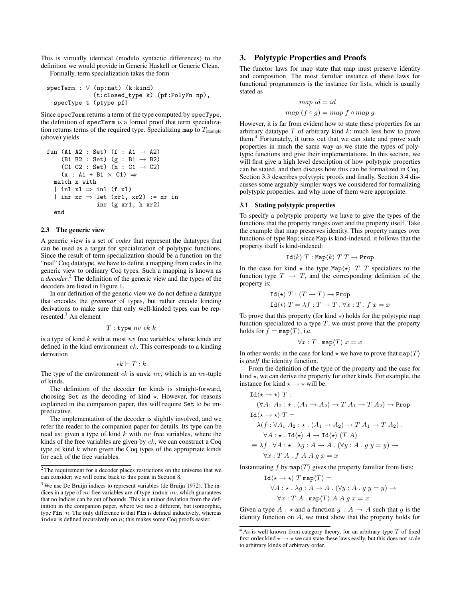This is virtually identical (modulo syntactic differences) to the definition we would provide in Generic Haskell or Generic Clean. Formally, term specialization takes the form

specTerm : ∀ (np:nat) (k:kind) (t:closed\_type k) (pf:PolyFn np), specType t (ptype pf)

Since specTerm returns a term of the type computed by specType, the definition of specTerm is a formal proof that term specialization returns terms of the required type. Specializing map to  $T_{\text{example}}$ (above) yields

```
fun (A1 A2 : Set) (f : A1 \rightarrow A2)
     (B1 B2 : Set) (g : B1 \rightarrow B2)
     (C1 C2 : Set) (h : C1 \rightarrow C2)(x : A1 + B1 \times C1) \Rightarrowmatch x with
  | inl x1 \Rightarrow inl (f x1)
  | inr xr \Rightarrow let (xr1, xr2) := xr in
                  inr (g xr1, h xr2)
  end
```
#### **2.3 The generic view**

A generic view is a set of *codes* that represent the datatypes that can be used as a target for specialization of polytypic functions. Since the result of term specialization should be a function on the "real" Coq datatype, we have to define a mapping from codes in the generic view to ordinary Coq types. Such a mapping is known as a *decoder*.<sup>2</sup> The definition of the generic view and the types of the decoders are listed in Figure 1.

In our definition of the generic view we do not define a datatype that encodes the *grammar* of types, but rather encode kinding derivations to make sure that only well-kinded types can be represented.<sup>3</sup> An element

 $T:$ type nv ek  $k$ 

is a type of kind  $k$  with at most nv free variables, whose kinds are defined in the kind environment ek. This corresponds to a kinding derivation

$$
ek \vdash T : k
$$

The type of the environment  $ek$  is envk nv, which is an nv-tuple of kinds.

The definition of the decoder for kinds is straight-forward, choosing Set as the decoding of kind  $\star$ . However, for reasons explained in the companion paper, this will require Set to be impredicative.

The implementation of the decoder is slightly involved, and we refer the reader to the companion paper for details. Its type can be read as: given a type of kind  $k$  with  $nv$  free variables, where the kinds of the free variables are given by ek, we can construct a Coq type of kind  $k$  when given the Coq types of the appropriate kinds for each of the free variables.

# **3. Polytypic Properties and Proofs**

The functor laws for map state that map must preserve identity and composition. The most familiar instance of these laws for functional programmers is the instance for lists, which is usually stated as

$$
map id = id
$$
  

$$
map (f \circ g) = map f \circ map g
$$

However, it is far from evident how to state these properties for an arbitrary datatype  $T$  of arbitrary kind  $k$ ; much less how to prove them.<sup>4</sup> Fortunately, it turns out that we can state and prove such properties in much the same way as we state the types of polytypic functions and give their implementations. In this section, we will first give a high level description of how polytypic properties can be stated, and then discuss how this can be formalized in Coq. Section 3.3 describes polytypic proofs and finally, Section 3.4 discusses some arguably simpler ways we considered for formalizing polytypic properties, and why none of them were appropriate.

#### **3.1 Stating polytypic properties**

To specify a polytypic property we have to give the types of the functions that the property ranges over and the property itself. Take the example that map preserves identity. This property ranges over functions of type Map; since Map is kind-indexed, it follows that the property itself is kind-indexed:

$$
\text{Id}\langle k\rangle T:\text{Map}\langle k\rangle T T\to \text{Prop}
$$

In the case for kind  $\star$  the type Map $\langle \star \rangle$  T T specializes to the function type  $T \rightarrow T$ , and the corresponding definition of the property is:

$$
Id \langle \star \rangle T : (T \to T) \to \text{Prop}
$$

$$
Id \langle \star \rangle T = \lambda f : T \to T \cdot \forall x : T \cdot f x = x
$$

To prove that this property (for kind  $\star$ ) holds for the polytypic map function specialized to a type  $T$ , we must prove that the property holds for  $f = \text{map}(T)$ , i.e.

$$
\forall x : T \,.\, \mathrm{map} \langle T \rangle\ x = x
$$

In other words: in the case for kind  $\star$  we have to prove that map $\langle T \rangle$ is *itself* the identity function.

From the definition of the type of the property and the case for kind  $\star$ , we can derive the property for other kinds. For example, the instance for kind  $\star \rightarrow \star$  will be:

$$
Id\langle \star \to \star \rangle T :
$$
  
\n
$$
(\forall A_1 \ A_2 : \star \ . \ (A_1 \to A_2) \to T \ A_1 \to T \ A_2) \to \text{Prop}
$$
  
\n
$$
Id\langle \star \to \star \rangle T =
$$
  
\n
$$
\lambda(f : \forall A_1 \ A_2 : \star \ . \ (A_1 \to A_2) \to T \ A_1 \to T \ A_2) .
$$
  
\n
$$
\forall A : \star \ . \ Id\langle \star \rangle \ A \to Id\langle \star \rangle \ (T \ A)
$$
  
\n
$$
\equiv \lambda f \ . \ \forall A : \star \ . \ \lambda g : A \to A \ . \ (\forall y : A \ . \ g \ y = y) \to
$$
  
\n
$$
\forall x : T \ A \ . \ f \ A \ A \ g \ x = x
$$

Instantiating f by  $\text{map}\langle T \rangle$  gives the property familiar from lists:

$$
Id\langle \star \to \star \rangle T \operatorname{map}\langle T \rangle =
$$
  

$$
\forall A : \star \cdot \lambda g : A \to A \cdot (\forall y : A \cdot g y = y) \to
$$
  

$$
\forall x : T \; A \cdot \operatorname{map}\langle T \rangle \; A \; A \; g \; x = x
$$

Given a type  $A : \star$  and a function  $q : A \to A$  such that q is the identity function on A, we must show that the property holds for

<sup>2</sup> The requirement for a decoder places restrictions on the universe that we can consider; we will come back to this point in Section 8.

<sup>3</sup> We use De Bruijn indices to represent variables (de Bruijn 1972). The indices in a type of  $nv$  free variables are of type index  $nv$ , which guarantees that no indices can be out of bounds. This is a minor deviation from the definition in the companion paper, where we use a different, but isomorphic, type Fin  $n$ . The only difference is that Fin is defined inductively, whereas index is defined recursively on  $n$ ; this makes some Coq proofs easier.

 $4$ As is well-known from category theory, for an arbitrary type  $T$  of fixed first-order kind  $\star \rightarrow \star$  we can state these laws easily, but this does not scale to arbitrary kinds of arbitrary order.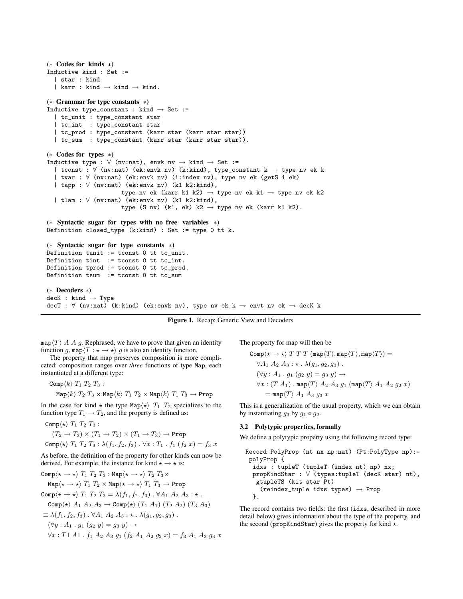```
(∗ Codes for kinds ∗)
Inductive kind : Set :=
  | star : kind
  | karr : kind \rightarrow kind \rightarrow kind.
(∗ Grammar for type constants ∗)
Inductive type_constant : kind \rightarrow Set :=
  | tc_unit : type_constant star
  | tc_int : type_constant star
  | tc_prod : type_constant (karr star (karr star star))
  | tc_sum : type_constant (karr star (karr star star)).
(∗ Codes for types ∗)
Inductive type : \forall (nv:nat), envk nv \rightarrow kind \rightarrow Set :=
  | tconst : ∀ (nv:nat) (ek:envk nv) (k:kind), type_constant k → type nv ek k
  | tvar : ∀ (nv:nat) (ek:envk nv) (i:index nv), type nv ek (getS i ek)
  | tapp : ∀ (nv:nat) (ek:envk nv) (k1 k2:kind),
                       type nv ek (karr k1 k2) \rightarrow type nv ek k1 \rightarrow type nv ek k2
  | tlam : ∀ (nv:nat) (ek:envk nv) (k1 k2:kind),
                       type (S nv) (k1, ek) k2 \rightarrow type nv ek (karr k1 k2).
(∗ Syntactic sugar for types with no free variables ∗)
Definition closed_type (k:kind) : Set := type 0 tt k.
(∗ Syntactic sugar for type constants ∗)
Definition tunit := tconst 0 tt tc_unit.
Definition tint := tconst 0 tt tc_int.
Definition tprod := tconst 0 tt tc_prod.
Definition tsum := tconst 0 tt tc_sum
(∗ Decoders ∗)
deck : kind \rightarrow TypedecT : \forall (nv:nat) (k:kind) (ek:envk nv), type nv ek k \rightarrow envt nv ek \rightarrow decK k
```
**Figure 1.** Recap: Generic View and Decoders

map $\langle T \rangle$  A A g. Rephrased, we have to prove that given an identity function g, map $\langle T : \star \to \star \rangle$  g is also an identity function.

The property that map preserves composition is more complicated: composition ranges over *three* functions of type Map, each instantiated at a different type:

$$
\texttt{Comp}\langle k\rangle\ T_1\ T_2\ T_3:
$$

$$
\mathrm{Map}\langle k \rangle T_2 T_3 \times \mathrm{Map}\langle k \rangle T_1 T_2 \times \mathrm{Map}\langle k \rangle T_1 T_3 \to \mathrm{Prop}
$$

In the case for kind  $\star$  the type Map $\langle \star \rangle$   $T_1$   $T_2$  specializes to the function type  $T_1 \rightarrow T_2$ , and the property is defined as:

$$
\texttt{Comp}\langle \star \rangle T_1 T_2 T_3:
$$

$$
(T_2 \to T_3) \times (T_1 \to T_2) \times (T_1 \to T_3) \to \text{Prop}
$$

Comp
$$
\langle \star \rangle
$$
  $T_1$   $T_2$   $T_3$  :  $\lambda(f_1, f_2, f_3)$ .  $\forall x$  :  $T_1$  .  $f_1$   $(f_2 x) = f_3 x$ 

As before, the definition of the property for other kinds can now be derived. For example, the instance for kind  $\star \rightarrow \star$  is:

Comp
$$
\langle \star \to \star \rangle
$$
  $T_1$   $T_2$   $T_3$  : Map $\langle \star \to \star \rangle$   $T_2$   $T_3 \times$  Map $\langle \star \to \star \rangle$   $T_1$   $T_2 \times \text{Map}\langle \star \to \star \rangle$   $T_1$   $T_3 \to \text{Prop}$  Comp $\langle \star \to \star \rangle$   $T_1$   $T_2$   $T_3 = \lambda(f_1, f_2, f_3) \cdot \forall A_1 \ A_2 \ A_3 : \star$ . Comp $\langle \star \rangle$   $A_1$   $A_2$   $A_3 \to \text{Comp}\langle \star \rangle$   $(T_1 \ A_1)$   $(T_2 \ A_2)$   $(T_3 \ A_3)$   $\equiv \lambda(f_1, f_2, f_3) \cdot \forall A_1 \ A_2 \ A_3 : \star \cdot \lambda(g_1, g_2, g_3)$ .  $(\forall y : A_1 \cdot g_1 \ (g_2 \ y) = g_3 \ y) \to$   $\forall x : T_1$   $A_1$   $A_1$   $A_2$   $A_3$   $g_1$   $(f_2 \ A_1 \ A_2 \ g_2 \ x) = f_3$   $A_1$   $A_3$   $g_3$   $x$ 

The property for map will then be

$$
\begin{aligned} \text{Comp}\langle\star\to\star\rangle\ T\ T\ T\ (\text{map}\langle T\rangle,\text{map}\langle T\rangle,\text{map}\langle T\rangle) &= \\ \forall A_1\ A_2\ A_3: \star\ .\ \lambda(g_1,g_2,g_3) \ .\\ (\forall y:A_1\ .\ g_1\ (g_2\ y)=g_3\ y) &\rightarrow \\ \forall x: (T\ A_1)\ .\ \text{map}\langle T\rangle\ A_2\ A_3\ g_1\ (\text{map}\langle T\rangle\ A_1\ A_2\ g_2\ x) \\ &=\text{map}\langle T\rangle\ A_1\ A_3\ g_3\ x \end{aligned}
$$

This is a generalization of the usual property, which we can obtain by instantiating  $g_3$  by  $g_1 \circ g_2$ .

### **3.2 Polytypic properties, formally**

We define a polytypic property using the following record type:

```
Record PolyProp (nt nx np:nat) (Pt:PolyType np):=
 polyProp {
  idxs : tupleT (tupleT (index nt) np) nx;
  propKindStar : ∀ (types:tupleT (decK star) nt),
   gtupleTS (kit star Pt)
    (reindex_tuple idxs types) \rightarrow Prop
  }.
```
The record contains two fields: the first (idxs, described in more detail below) gives information about the type of the property, and the second (propKindStar) gives the property for kind  $\star$ .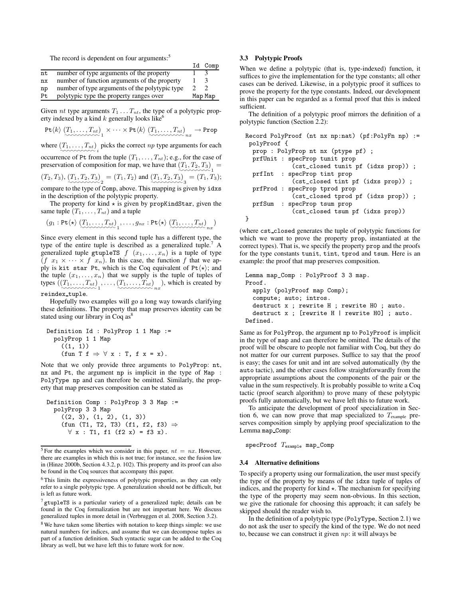The record is dependent on four arguments:<sup>5</sup>

| The record is dependent on four arguments: |                                                |         |         |
|--------------------------------------------|------------------------------------------------|---------|---------|
|                                            |                                                |         | Id Comp |
| nt                                         | number of type arguments of the property       |         |         |
| nx                                         | number of function arguments of the property   |         |         |
| np                                         | number of type arguments of the polytypic type |         |         |
| Pt                                         | polytypic type the property ranges over        | Map Map |         |

Given nt type arguments  $T_1 \ldots T_{nt}$ , the type of a polytypic property indexed by a kind  $k$  generally looks like<sup>6</sup>

$$
\mathrm{Pt}\langle k\rangle\ (\underbrace{T_1,\ldots,T_{nt}}_{\sim\sim\sim\sim\sim\sim\sim\sim} )_1\times\cdots\times\mathrm{Pt}\langle k\rangle\ (\underbrace{T_1,\ldots,T_{nt}}_{\sim\sim\sim\sim\sim\sim\sim\sim\sim\sim\sim} )_n\rightarrow\mathrm{Prop}
$$

where  $(T_1, \ldots, T_{nt})$  picks the correct  $np$  type arguments for each

occurrence of Pt from the tuple  $(T_1, \ldots, T_{nt})$ ; e.g., for the case of preservation of composition for map, we have that  $(T_1, T_2, T_3)$  =

 $(T_2, T_3), (T_1, T_2, T_3)$  =  $(T_1, T_2)$  and  $(T_1, T_2, T_3)$  =  $(T_1, T_3)$ ; compare to the type of Comp, above. This mapping is given by idxs

in the description of the polytypic property.

The property for kind  $\star$  is given by propKindStar, given the same tuple  $(T_1, \ldots, T_{nt})$  and a tuple

$$
(g_1: \mathtt{Pt}\langle \star \rangle \left( T_1, \ldots, T_{nt} \right), \ldots, g_{nx}: \mathtt{Pt}\langle \star \rangle \left( T_1, \ldots, T_{nt} \right),
$$

Since every element in this second tuple has a different type, the type of the entire tuple is described as a generalized tuple.<sup>7</sup> A generalized tuple gtupleTS  $f(x_1, \ldots, x_n)$  is a tuple of type  $(f x_1 \times \cdots \times f x_n)$ . In this case, the function f that we apply is kit star Pt, which is the Coq equivalent of Pt $\langle \star \rangle$ ; and the tuple  $(x_1, \ldots, x_n)$  that we supply is the tuple of tuples of types  $((T_1, \ldots, T_{nt}), \ldots, (T_1, \ldots, T_{nt})$ , which is created by

# reindex tuple.

Hopefully two examples will go a long way towards clarifying these definitions. The property that map preserves identity can be stated using our library in Coq  $as^8$ 

```
Definition Id : PolyProp 1 1 Map :=
  polyProp 1 1 Map
     ((1, 1))(fun T f \Rightarrow \forall x : T, f x = x).
```
Note that we only provide three arguments to PolyProp: nt, nx and Pt, the argument np is implicit in the type of Map : PolyType np and can therefore be omitted. Similarly, the property that map preserves composition can be stated as

```
Definition Comp : PolyProp 3 3 Map :=
  polyProp 3 3 Map
    ((2, 3), (1, 2), (1, 3))(fun (T1, T2, T3) (f1, f2, f3) ⇒
      \forall x : T1, f1 (f2 x) = f3 x.
```
# **3.3 Polytypic Proofs**

When we define a polytypic (that is, type-indexed) function, it suffices to give the implementation for the type constants; all other cases can be derived. Likewise, in a polytypic proof it suffices to prove the property for the type constants. Indeed, our development in this paper can be regarded as a formal proof that this is indeed sufficient.

The definition of a polytypic proof mirrors the definition of a polytypic function (Section 2.2):

```
Record PolyProof (nt nx np:nat) (pf:PolyFn np) :=
polyProof {
  prop : PolyProp nt nx (ptype pf) ;
 prfUnit : specProp tunit prop
             (cst_closed tunit pf (idxs prop)) ;
 prfInt : specProp tint prop
             (cst_closed tint pf (idxs prop)) ;
  prfProd : specProp tprod prop
             (cst_closed tprod pf (idxs prop)) ;
 prfSum : specProp tsum prop
             (cst_closed tsum pf (idxs prop))
}
```
(where cst closed generates the tuple of polytypic functions for which we want to prove the property prop, instantiated at the correct types). That is, we specify the property prop and the proofs for the type constants tunit, tint, tprod and tsum. Here is an example: the proof that map preserves composition.

```
Lemma map_Comp : PolyProof 3 3 map.
Proof.
  apply (polyProof map Comp);
  compute; auto; intros.
  destruct x ; rewrite H ; rewrite H0 ; auto.
  destruct x ; [rewrite H | rewrite H0] ; auto.
Defined.
```
Same as for PolyProp, the argument np to PolyProof is implicit in the type of map and can therefore be omitted. The details of the proof will be obscure to people not familiar with Coq, but they do not matter for our current purposes. Suffice to say that the proof is easy; the cases for unit and int are solved automatically (by the auto tactic), and the other cases follow straightforwardly from the appropriate assumptions about the components of the pair or the value in the sum respectively. It is probably possible to write a Coq tactic (proof search algorithm) to prove many of these polytypic proofs fully automatically, but we have left this to future work.

To anticipate the development of proof specialization in Section 6, we can now prove that map specialized to  $T_{\text{example}}$  preserves composition simply by applying proof specialization to the Lemma map Comp:

specProof  $T_{\text{example}}$  map\_Comp

#### **3.4 Alternative definitions**

To specify a property using our formalization, the user must specify the type of the property by means of the idxs tuple of tuples of indices, and the property for kind  $\star$ . The mechanism for specifying the type of the property may seem non-obvious. In this section, we give the rationale for choosing this approach; it can safely be skipped should the reader wish to.

In the definition of a polytypic type (PolyType, Section 2.1) we do not ask the user to specify the kind of the type. We do not need to, because we can construct it given  $np$ : it will always be

<sup>&</sup>lt;sup>5</sup> For the examples which we consider in this paper,  $nt = nx$ . However, there are examples in which this is not true; for instance, see the fusion law in (Hinze 2000b, Section 4.3.2, p. 102). This property and its proof can also be found in the Coq sources that accompany this paper.

<sup>6</sup> This limits the expressiveness of polytypic properties, as they can only refer to a single polytypic type. A generalization should not be difficult, but is left as future work.

 $<sup>7</sup>$  gtupleTS is a particular variety of a generalized tuple; details can be</sup> found in the Coq formalization but are not important here. We discuss generalized tuples in more detail in (Verbruggen et al. 2008, Section 3.2).

<sup>8</sup> We have taken some liberties with notation to keep things simple: we use natural numbers for indices, and assume that we can decompose tuples as part of a function definition. Such syntactic sugar can be added to the Coq library as well, but we have left this to future work for now.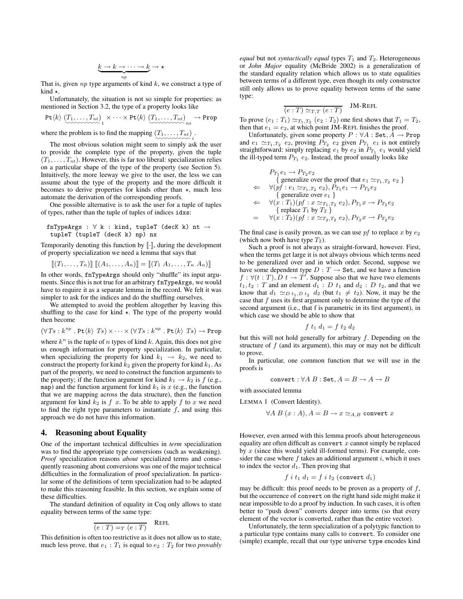$$
\underbrace{k \to k \to \cdots \to k}_{np} \to \star
$$

That is, given  $np$  type arguments of kind  $k$ , we construct a type of kind  $\star$ .

Unfortunately, the situation is not so simple for properties: as mentioned in Section 3.2, the type of a property looks like

$$
\mathtt{Pt}\langle k\rangle\ (T_1,\ldots,T_{nt})\ \times\cdots\times\mathtt{Pt}\langle k\rangle\ (T_1,\ldots,T_{nt})\ \longrightarrow\mathtt{Prop}
$$

where the problem is to find the mapping  $(T_1, \ldots, T_{nt})$ .

The most obvious solution might seem to simply ask the user to provide the complete type of the property, given the tuple  $(T_1, \ldots, T_{nt})$ . However, this is far too liberal: specialization relies on a particular shape of the type of the property (see Section 5). Intuitively, the more leeway we give to the user, the less we can assume about the type of the property and the more difficult it becomes to derive properties for kinds other than  $\star$ , much less automate the derivation of the corresponding proofs.

One possible alternative is to ask the user for a tuple of tuples of types, rather than the tuple of tuples of indices idxs:

```
fnTypeArgs : \forall k : kind, tupleT (decK k) nt \rightarrowtupleT (tupleT (decK k) np) nx
```
Temporarily denoting this function by  $\lbrack \cdot \rbrack$ , during the development of property specialization we need a lemma that says that

 $[[ (T_1, \ldots, T_n)]] [[ (A_1, \ldots, A_n)]] = [[ (T_1 \ A_1, \ldots, T_n \ A_n)]]$ 

In other words, fnTypeArgs should only "shuffle" its input arguments. Since this is not true for an arbitrary fnTypeArgs, we would have to require it as a separate lemma in the record. We felt it was simpler to ask for the indices and do the shuffling ourselves.

We attempted to avoid the problem altogether by leaving this shuffling to the case for kind  $\star$ . The type of the property would then become

$$
(\forall Ts: k^{np} \cdot \text{Pt}\langle k\rangle \ Ts) \times \cdots \times (\forall Ts: k^{np} \cdot \text{Pt}\langle k\rangle \ Ts) \rightarrow \text{Prop}
$$

where  $k^n$  is the tuple of n types of kind k. Again, this does not give us enough information for property specialization. In particular, when specializing the property for kind  $k_1 \rightarrow k_2$ , we need to construct the property for kind  $k_2$  given the property for kind  $k_1$ . As part of the property, we need to construct the function arguments to the property; if the function argument for kind  $k_1 \rightarrow k_2$  is f (e.g., map) and the function argument for kind  $k_1$  is x (e.g., the function that we are mapping across the data structure), then the function argument for kind  $k_2$  is  $f(x)$ . To be able to apply  $f(x)$  to  $x$  we need to find the right type parameters to instantiate  $f$ , and using this approach we do not have this information.

## **4. Reasoning about Equality**

One of the important technical difficulties in *term* specialization was to find the appropriate type conversions (such as weakening). *Proof* specialization reasons *about* specialized terms and consequently reasoning about conversions was one of the major technical difficulties in the formalization of proof specialization. In particular some of the definitions of term specialization had to be adapted to make this reasoning feasible. In this section, we explain some of these difficulties.

The standard definition of equality in Coq only allows to state equality between terms of the same type:

$$
\overline{(e:T)} = T (e:T)
$$
REFL

This definition is often too restrictive as it does not allow us to state, much less prove, that  $e_1 : T_1$  is equal to  $e_2 : T_2$  for two *provably* 

*equal* but not *syntactically equal* types  $T_1$  and  $T_2$ . Heterogeneous or *John Major* equality (McBride 2002) is a generalization of the standard equality relation which allows us to state equalities between terms of a different type, even though its only constructor still only allows us to prove equality between terms of the same type:

$$
\overline{(e:T) \simeq_{T,T} (e:T)} \quad \text{JM-REFL}
$$

To prove  $(e_1 : T_1) \simeq_{T_1,T_2} (e_2 : T_2)$  one first shows that  $T_1 = T_2$ , then that  $e_1 = e_2$ , at which point JM-REFL finishes the proof.

Unfortunately, given some property  $P : \forall A : \mathsf{Set}, A \rightarrow \mathsf{Prop}$ and  $e_1 \simeq_{T_1, T_2} e_2$ , proving  $P_{T_2}$   $e_2$  given  $P_{T_1}$   $e_1$  is not entirely straightforward: simply replacing  $e_1$  by  $e_2$  in  $P_{T_1}$   $e_1$  would yield the ill-typed term  $P_{T_1}$   $e_2$ . Instead, the proof usually looks like

$$
P_{T_1}e_1 \rightarrow P_{T_2}e_2
$$
  
\n{ generalize over the proof that  $e_1 \simeq_{T_1,T_2} e_2$ }  
\n
$$
\Leftarrow \forall (pf : e_1 \simeq_{T_1,T_2} e_2), P_{T_1}e_1 \rightarrow P_{T_2}e_2
$$
  
\n{ generalize over  $e_1$ }  
\n
$$
\Leftarrow \forall (x : T_1)(pf : x \simeq_{T_1,T_2} e_2), P_{T_1}x \rightarrow P_{T_2}e_2
$$
  
\n{ replace  $T_1$  by  $T_2$ }  
\n
$$
= \forall (x : T_2)(pf : x \simeq_{T_2,T_2} e_2), P_{T_2}x \rightarrow P_{T_2}e_2
$$

The final case is easily proven, as we can use  $pf$  to replace x by  $e_2$ (which now both have type  $T_2$ ).

Such a proof is not always as straight-forward, however. First, when the terms get large it is not always obvious which terms need to be generalized over and in which order. Second, suppose we have some dependent type  $D: T \to \mathbf{Set}$ , and we have a function  $f: \forall (t : T), D \ t \rightarrow T^f$ . Suppose also that we have two elements  $t_1, t_2$ : T and an element  $d_1$ : D  $t_1$  and  $d_2$ : D  $t_2$ , and that we know that  $d_1 \simeq_{D t_1, D t_2} d_2$  (but  $t_1 \neq t_2$ ). Now, it may be the case that  $f$  uses its first argument only to determine the type of the second argument (i.e., that f is parametric in its first argument), in which case we should be able to show that

$$
f t_1 d_1 = f t_2 d_2
$$

but this will not hold generally for arbitrary  $f$ . Depending on the structure of  $f$  (and its argument), this may or may not be difficult to prove.

In particular, one common function that we will use in the proofs is

$$
convert: \forall A B : \mathsf{Set}, A = B \rightarrow A \rightarrow B
$$

with associated lemma

LEMMA 1 (Convert Identity).

$$
\forall A \ B \ (x:A), A = B \rightarrow x \simeq_{A,B} \text{ convert } x
$$

However, even armed with this lemma proofs about heterogeneous equality are often difficult as convert  $x$  cannot simply be replaced by x (since this would yield ill-formed terms). For example, consider the case where  $f$  takes an additional argument  $i$ , which it uses to index the vector  $d_1$ . Then proving that

$$
f i t_1 d_1 = f i t_2 \text{ (convert } d_1\text{)}
$$

may be difficult: this proof needs to be proven as a property of  $f$ , but the occurrence of convert on the right hand side might make it near impossible to do a proof by induction. In such cases, it is often better to "push down" converts deeper into terms (so that every element of the vector is converted, rather than the entire vector).

Unfortunately, the term specialization of a polytypic function to a particular type contains many calls to convert. To consider one (simple) example, recall that our type universe type encodes kind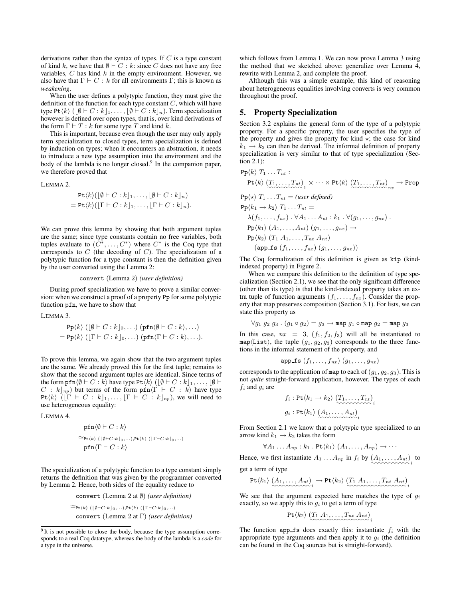derivations rather than the syntax of types. If  $C$  is a type constant of kind k, we have that  $Ø ⊢ C : k$ : since C does not have any free variables,  $C$  has kind  $k$  in the empty environment. However, we also have that  $\Gamma \vdash C : k$  for all environments  $\Gamma$ ; this is known as *weakening*.

When the user defines a polytypic function, they must give the definition of the function for each type constant  $C$ , which will have type Pt $\langle k \rangle$  ( $[\emptyset \vdash C : k]_1, \ldots, [\emptyset \vdash C : k]_n$ ). Term specialization however is defined over open types, that is, over kind derivations of the form  $\Gamma \vdash T : k$  for some type T and kind k.

This is important, because even though the user may only apply term specialization to closed types, term specialization is defined by induction on types; when it encounters an abstraction, it needs to introduce a new type assumption into the environment and the body of the lambda is no longer closed.<sup>9</sup> In the companion paper, we therefore proved that

LEMMA 2.

$$
\begin{aligned} \operatorname{Pt}\langle k\rangle([\emptyset \vdash C:k]_1,\ldots,[\emptyset \vdash C:k]_n) \\ &= \operatorname{Pt}\langle k\rangle([\Gamma \vdash C:k]_1,\ldots,[\Gamma \vdash C:k]_n). \end{aligned}
$$

We can prove this lemma by showing that both argument tuples are the same; since type constants contain no free variables, both tuples evaluate to  $(C^*, \ldots, C^*)$  where  $C^*$  is the Coq type that corresponds to  $C$  (the decoding of  $C$ ). The specialization of a polytypic function for a type constant is then the definition given by the user converted using the Lemma 2:

#### convert (Lemma 2) *(user definition)*

During proof specialization we have to prove a similar conversion: when we construct a proof of a property Pp for some polytypic function pfn, we have to show that

LEMMA 3.

$$
\mathsf{Pp}\langle k \rangle \left( \lfloor \emptyset + C : k \rfloor_0, \ldots \right) \left( \mathsf{pfn}\langle \emptyset + C : k \rangle, \ldots \right) = \mathsf{Pp}\langle k \rangle \left( \lfloor \Gamma + C : k \rfloor_0, \ldots \right) \left( \mathsf{pfn}\langle \Gamma + C : k \rangle, \ldots \right).
$$

To prove this lemma, we again show that the two argument tuples are the same. We already proved this for the first tuple; remains to show that the second argument tuples are identical. Since terms of the form  $\texttt{pfn}\langle\emptyset \vdash C : k \rangle$  have type Pt $\langle k \rangle$  ( $\lfloor \emptyset \vdash C : k \rfloor_1, \ldots, \lfloor \emptyset \vdash$  $C : k|_{np}$ ) but terms of the form pfn $\langle \Gamma \vdash C : \overline{k} \rangle$  have type Pt $\langle k \rangle$  ( $[\Gamma \vdash C : k]_1, \ldots, [\Gamma \vdash C : k]_{np}$ ), we will need to use heterogeneous equality:

LEMMA 4.

$$
\begin{aligned}\n\mathbf{pfn} \langle \emptyset \vdash C : k \rangle \\
\simeq_{\text{Pt}(k)} (\lfloor \emptyset \vdash C : k \rfloor_0, \dots), \text{Pt}(k) \ (\lfloor \Gamma \vdash C : k \rfloor_0, \dots) \\
\mathbf{pfn} \langle \Gamma \vdash C : k \rangle\n\end{aligned}
$$

The specialization of a polytypic function to a type constant simply returns the definition that was given by the programmer converted by Lemma 2. Hence, both sides of the equality reduce to

convert (Lemma 2 at ∅) *(user definition)*

 $\cong_{\mathsf{Pt}\langle k\rangle\;(\lfloor\emptyset\vdash C{:}k\rfloor_0,\ldots),\mathsf{Pt}\langle k\rangle\;(\lfloor\Gamma\vdash C{:}k\rfloor_0,\ldots)}$ convert (Lemma 2 at Γ) *(user definition)* which follows from Lemma 1. We can now prove Lemma 3 using the method that we sketched above: generalize over Lemma 4, rewrite with Lemma 2, and complete the proof.

Although this was a simple example, this kind of reasoning about heterogeneous equalities involving converts is very common throughout the proof.

## **5. Property Specialization**

Section 3.2 explains the general form of the type of a polytypic property. For a specific property, the user specifies the type of the property and gives the property for kind  $\star$ ; the case for kind  $k_1 \rightarrow k_2$  can then be derived. The informal definition of property specialization is very similar to that of type specialization (Section 2.1):

$$
Pp\langle k \rangle T_1 ... T_{nt} :
$$
\n
$$
Pt\langle k \rangle (T_1,...,T_{nt})_1 \times \cdots \times Pt\langle k \rangle (T_1,...,T_{nt})_n \rightarrow Prop
$$
\n
$$
Pp\langle \star \rangle T_1 ... T_{nt} = (user \, defined)
$$
\n
$$
Pp\langle k_1 \to k_2 \rangle T_1 ... T_{nt} =
$$
\n
$$
\lambda(f_1,...,f_{nx}) \cdot \forall A_1 ... A_{nt} : k_1 \cdot \forall (g_1,...,g_{nx}) .
$$
\n
$$
Pp\langle k_1 \rangle (A_1,...,A_{nt}) (g_1,...,g_{nx}) \rightarrow
$$
\n
$$
Pp\langle k_2 \rangle (T_1 A_1,...,T_{nt} A_{nt})
$$
\n
$$
(app\_fs (f_1,...,f_{nx}) (g_1,...,g_{nx}))
$$

The Coq formalization of this definition is given as kip (kindindexed property) in Figure 2.

When we compare this definition to the definition of type specialization (Section 2.1), we see that the only significant difference (other than its type) is that the kind-indexed property takes an extra tuple of function arguments  $(f_1, \ldots, f_n)$ . Consider the property that map preserves composition (Section 3.1). For lists, we can state this property as

$$
\forall g_1\ g_2\ g_3\ .\ (g_1\circ g_2)=g_3\rightarrow\text{map }g_1\circ\text{map }g_2=\text{map }g_3
$$

In this case,  $nx = 3$ ,  $(f_1, f_2, f_3)$  will all be instantiated to map $\langle$ List $\rangle$ , the tuple  $(g_1, g_2, g_3)$  corresponds to the three functions in the informal statement of the property, and

$$
\mathtt{app\_fs}\;(f_1,\ldots,f_{nx})\;(g_1,\ldots,g_{nx})
$$

corresponds to the application of map to each of  $(g_1, g_2, g_3)$ . This is not *quite* straight-forward application, however. The types of each  $f_i$  and  $g_i$  are

$$
f_i: \mathsf{Pt}\langle k_1 \to k_2 \rangle \underbrace{(T_1, \dots, T_{nt})}_{g_i: \mathsf{Pt}\langle k_1 \rangle} \underbrace{(A_1, \dots, A_{nt})}_{\sim \sim \sim \sim \sim \sim i}
$$

From Section 2.1 we know that a polytypic type specialized to an arrow kind  $k_1 \rightarrow k_2$  takes the form

$$
\forall A_1 \ldots A_{np} : k_1 \ldotp \mathsf{Pt}\langle k_1 \rangle \ (A_1, \ldots, A_{np}) \rightarrow \cdots
$$

Hence, we first instantiate  $A_1 \dots A_{np}$  in  $f_i$  by  $(A_1, \dots, A_{nt})$  to get a term of type

Pthk1i (A1, . . . , Ant ) ✿✿✿✿✿✿✿✿✿✿✿ i → Pthk2i (T<sup>1</sup> A1, . . . , Tnt Ant) ✿✿✿✿✿✿✿✿✿✿✿✿✿✿✿✿✿ i

We see that the argument expected here matches the type of  $g_i$ exactly, so we apply this to  $g_i$  to get a term of type

$$
\mathtt{Pt}\langle k_2\rangle\left(T_1\ A_1,\dots,T_{nt}\ A_{nt}\right)_i
$$

The function app  $f$ s does exactly this: instantiate  $f_i$  with the appropriate type arguments and then apply it to  $g_i$  (the definition can be found in the Coq sources but is straight-forward).

<sup>&</sup>lt;sup>9</sup> It is not possible to close the body, because the type assumption corresponds to a real Coq datatype, whereas the body of the lambda is a *code* for a type in the universe.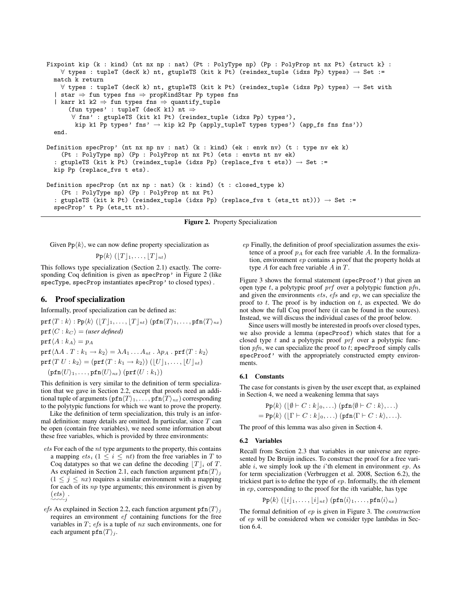```
Fixpoint kip (k : kind) (nt nx np : nat) (Pt : PolyType np) (Pp : PolyProp nt nx Pt) {struct k} :
    ∀ types : tupleT (decK k) nt, gtupleTS (kit k Pt) (reindex_tuple (idxs Pp) types) → Set :=
  match k return
   ∀ types : tupleT (decK k) nt, gtupleTS (kit k Pt) (reindex_tuple (idxs Pp) types) → Set with
  | star ⇒ fun types fns ⇒ propKindStar Pp types fns
  | karr k1 k2 ⇒ fun types fns ⇒ quantify_tuple
      (fun types' : tupleT (decK k1) nt \Rightarrow∀ fns' : gtupleTS (kit k1 Pt) (reindex_tuple (idxs Pp) types'),
        kip k1 Pp types' fns' \rightarrow kip k2 Pp (apply_tupleT types types') (app_fs fns fns'))
  end.
Definition specProp' (nt nx np nv : nat) (k : kind) (ek : envk nv) (t : type nv ek k)
    (Pt : PolyType np) (Pp : PolyProp nt nx Pt) (ets : envts nt nv ek)
  : gtupleTS (kit k Pt) (reindex_tuple (idxs Pp) (replace_fvs t ets)) \rightarrow Set :=
 kip Pp (replace_fvs t ets).
Definition specProp (nt nx np : nat) (k : kind) (t : closed_type k)
    (Pt : PolyType np) (Pp : PolyProp nt nx Pt)
  : gtupleTS (kit k Pt) (reindex_tuple (idxs Pp) (replace_fvs t (ets_tt nt))) → Set :=
  specProp' t Pp (ets_tt nt).
```


Given  $Pp\langle k \rangle$ , we can now define property specialization as

 $\Pr\langle k \rangle (\lfloor T \rfloor_1, \ldots, \lfloor T \rfloor_{nt})$ 

This follows type specialization (Section 2.1) exactly. The corresponding Coq definition is given as specProp' in Figure 2 (like specType, specProp instantiates specProp' to closed types) .

# **6. Proof specialization**

Informally, proof specialization can be defined as:

$$
\text{prf}(T:k): \text{Pp}(k) ([T]_1, \ldots, [T]_{nt}) (\text{pfn}(T)_1, \ldots, \text{pfn}(T)_{nx})
$$
\n
$$
\text{prf}(C: k_C) = (\text{user defined})
$$
\n
$$
\text{prf}(A: k_A) = p_A
$$
\n
$$
\text{prf}(AA \cdot T: k_1 \to k_2) = \lambda A_1 \ldots A_{nt} \cdot \lambda p_A \cdot \text{prf}(T: k_2)
$$
\n
$$
\text{prf}(T U: k_2) = (\text{prf}(T: k_1 \to k_2)) ([U]_1, \ldots, [U]_{nt})
$$
\n
$$
(\text{pfn}(U)_1, \ldots, \text{pfn}(U)_{nx}) (\text{prf}(U: k_1))
$$

This definition is very similar to the definition of term specialization that we gave in Section 2.2, except that proofs need an additional tuple of arguments  $(pfn\langle T \rangle_1, \ldots, pfn\langle T \rangle_n)$  corresponding to the polytypic functions for which we want to prove the property.

Like the definition of term specialization, this truly is an informal definition: many details are omitted. In particular, since  $T$  can be open (contain free variables), we need some information about these free variables, which is provided by three environments:

- ets For each of the nt type arguments to the property, this contains a mapping  $ets_i$  ( $1 \leq i \leq nt$ ) from the free variables in T to Coq datatypes so that we can define the decoding  $|T|_i$  of T. As explained in Section 2.1, each function argument  $\text{pfn}\langle T \rangle_i$  $(1 \leq j \leq nx)$  requires a similar environment with a mapping for each of its  $np$  type arguments; this environment is given by  $\overset{(ets)}{\sim}{\sim}$
- *efs* As explained in Section 2.2, each function argument  $\frac{\pi}{\text{min}}\langle T \rangle_i$ requires an environment ef containing functions for the free variables in  $T$ ;  $efs$  is a tuple of  $nx$  such environments, one for each argument  $\texttt{pfn}\langle T \rangle_j$ .

ep Finally, the definition of proof specialization assumes the existence of a proof  $p_A$  for each free variable A. In the formalization, environment ep contains a proof that the property holds at type  $A$  for each free variable  $A$  in  $T$ .

Figure 3 shows the formal statement (specProof') that given an open type  $t$ , a polytypic proof  $prf$  over a polytypic function  $pfn$ , and given the environments ets, efs and ep, we can specialize the proof to  $t$ . The proof is by induction on  $t$ , as expected. We do not show the full Coq proof here (it can be found in the sources). Instead, we will discuss the individual cases of the proof below.

Since users will mostly be interested in proofs over closed types, we also provide a lemma (specProof) which states that for a closed type  $t$  and a polytypic proof  $prf$  over a polytypic function  $pfn$ , we can specialize the proof to t; specProof simply calls specProof' with the appropriately constructed empty environments.

#### **6.1 Constants**

The case for constants is given by the user except that, as explained in Section 4, we need a weakening lemma that says

$$
\mathbf{Pp}\langle k \rangle \left( \lfloor \emptyset + C : k \rfloor_0, \ldots \right) \left( \mathbf{pfn}\langle \emptyset + C : k \rangle, \ldots \right) \n= \mathbf{Pp}\langle k \rangle \left( \lfloor \Gamma + C : k \rfloor_0, \ldots \right) \left( \mathbf{pfn}\langle \Gamma + C : k \rangle, \ldots \right).
$$

The proof of this lemma was also given in Section 4.

#### **6.2 Variables**

Recall from Section 2.3 that variables in our universe are represented by De Bruijn indices. To construct the proof for a free variable  $i$ , we simply look up the  $i$ 'th element in environment  $ep$ . As for term specialization (Verbruggen et al. 2008, Section 6.2), the trickiest part is to define the type of ep. Informally, the ith element in ep, corresponding to the proof for the ith variable, has type

$$
\texttt{Pp}\langle k\rangle\left(\lfloor i\rfloor_1,\ldots,\lfloor i\rfloor_{nt}\right)\left(\texttt{pfn}\langle i\rangle_1,\ldots,\texttt{pfn}\langle i\rangle_{nx}\right)
$$

The formal definition of ep is given in Figure 3. The *construction* of ep will be considered when we consider type lambdas in Section 6.4.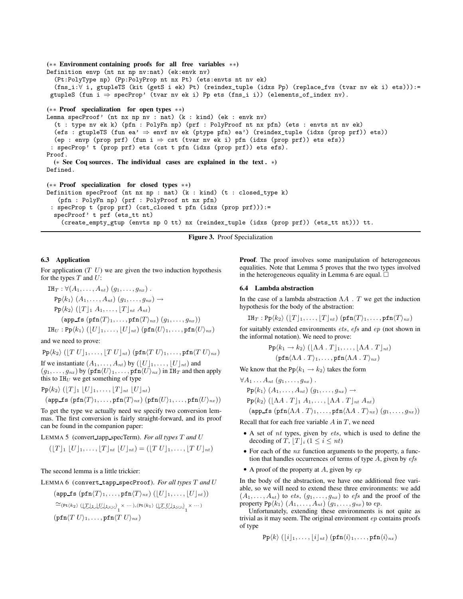```
(∗∗ Environment containing proofs for all free variables ∗∗)
Definition envp (nt nx np nv:nat) (ek:envk nv)
  (Pt:PolyType np) (Pp:PolyProp nt nx Pt) (ets:envts nt nv ek)
  (fns_i:∀ i, gtupleTS (kit (getS i ek) Pt) (reindex_tuple (idxs Pp) (replace_fvs (tvar nv ek i) ets))):=
 gtupleS (fun i \Rightarrow specProp' (tvar nv ek i) Pp ets (fns_i i)) (elements_of_index nv).
(∗∗ Proof specialization for open types ∗∗)
Lemma specProof' (nt nx np nv : nat) (k : kind) (ek : envk nv)
  (t : type nv ek k) (pfn : PolyFn np) (prf : PolyProof nt nx pfn) (ets : envts nt nv ek)
  (efs : gtupleTS (fun ea' ⇒ envf nv ek (ptype pfn) ea') (reindex_tuple (idxs (prop prf)) ets))
  (ep : envp (prop prf) (fun i \Rightarrow cst (tvar nv ek i) pfn (idxs (prop prf)) ets efs))
 : specProp' t (prop prf) ets (cst t pfn (idxs (prop prf)) ets efs).
Proof.
  (∗ See Coq sources . The individual cases are explained in the text . ∗)
Defined.
(∗∗ Proof specialization for closed types ∗∗)
Definition specProof (nt nx np : nat) (k : kind) (t : closed_type k)
   (pfn : PolyFn np) (prf : PolyProof nt nx pfn)
 : specProp t (prop prf) (cst_closed t pfn (idxs (prop prf))):=
  specProof' t prf (ets_tt nt)
```
(create\_empty\_gtup (envts np 0 tt) nx (reindex\_tuple (idxs (prop prf)) (ets\_tt nt))) tt.

**Figure 3.** Proof Specialization

## **6.3 Application**

For application  $(T U)$  we are given the two induction hypothesis for the types  $T$  and  $U$ :

$$
\Pi_T : \forall (A_1, \ldots, A_{nt}) (g_1, \ldots, g_{nx}) .
$$
\n
$$
Pp \langle k_1 \rangle (A_1, \ldots, A_{nt}) (g_1, \ldots, g_{nx}) \rightarrow
$$
\n
$$
Pp \langle k_2 \rangle ([T]_1 A_1, \ldots, [T]_{nt} A_{nt})
$$
\n
$$
(\text{app\_fs} (\text{pfn} \langle T \rangle_1, \ldots, \text{pfn} \langle T \rangle_{nx}) (g_1, \ldots, g_{nx}))
$$
\n
$$
\text{IH}_U : Pp \langle k_1 \rangle ([U]_1, \ldots, [U]_{nt}) (\text{pfn} \langle U \rangle_1, \ldots, \text{pfn} \langle U \rangle_{nx})
$$

and we need to prove:

 $\Pr\langle k_2 \rangle$  ( $\left[T U\right]_1, \ldots, \left[T U\right]_{nt}$ ) (pfn $\langle T U \rangle_1, \ldots,$  pfn $\langle T U \rangle_{nx}$ )

If we instantiate  $(A_1, \ldots, A_{nt})$  by  $(\lfloor U \rfloor_1, \ldots, \lfloor U \rfloor_{nt})$  and  $(g_1, \ldots, g_{nx})$  by  $(\text{pfn}\langle U \rangle_1, \ldots, \text{pfn}\langle U \rangle_{nx})$  in IH<sub>T</sub> and then apply this to  $IH_U$  we get something of type

$$
Pp\langle k_2\rangle ([T]_1 [U]_1, \ldots, [T]_{nt} [U]_{nt})
$$
  
(app\_fs (prn $\langle T \rangle_1, \ldots$ , prn $\langle T \rangle_{nx}$ ) (prn $\langle U \rangle_1, \ldots$ , prn $\langle U \rangle_{nx}$ ))

To get the type we actually need we specify two conversion lemmas. The first conversion is fairly straight-forward, and its proof can be found in the companion paper:

LEMMA 5 (convert tapp specTerm). *For all types* T *and* U

$$
([T]_1 [U]_1, \ldots, [T]_{nt} [U]_{nt}) = ([T U]_1, \ldots, [T U]_{nt})
$$

The second lemma is a little trickier:

LEMMA 6 (convert tapp specProof). *For all types* T *and* U

$$
\begin{aligned}\n &(\mathsf{app\_fs}\;(\mathsf{pfn}(T)_1,\ldots,\mathsf{pfn}(T)_{nx})\;(\lfloor U \rfloor_1,\ldots,\lfloor U \rfloor_{nt})) \\
 &\cong(\mathsf{Pt}(k_2)\;(\lfloor \mathcal{L} \rfloor \cup \lfloor \mathcal{L} \rfloor \cup \cdots)\; \cdot)^n \; (\mathsf{Pt}(k_1)\;(\lfloor \mathcal{L} \mathcal{L} \sqcup \cdots)\; \cdot)^n \\
 &\times \cdots)\n \end{aligned}
$$
\n
$$
(\mathsf{pfn}(T\;U)_1,\ldots,\mathsf{pfn}(T\;U)_{nx})
$$

**Proof.** The proof involves some manipulation of heterogeneous equalities. Note that Lemma 5 proves that the two types involved in the heterogeneous equality in Lemma 6 are equal.  $\Box$ 

## **6.4 Lambda abstraction**

In the case of a lambda abstraction  $\Lambda A$ . T we get the induction hypothesis for the body of the abstraction:

$$
\text{IH}_T: \text{Pp}\langle k_2 \rangle \left( \lfloor T \rfloor_1, \ldots, \lfloor T \rfloor_{nt} \right) \left( \text{pfn}\langle T \rangle_1, \ldots, \text{pfn}\langle T \rangle_{nx} \right)
$$

for suitably extended environments ets, efs and ep (not shown in the informal notation). We need to prove:

$$
\mathrm{Pp}\langle k_1 \to k_2 \rangle \left( [\Lambda A \cdot T]_1, \ldots, [\Lambda A \cdot T]_{nt} \right) \n(\mathrm{pfn}\langle \Lambda A \cdot T \rangle_1, \ldots, \mathrm{pfn}\langle \Lambda A \cdot T \rangle_{nx})
$$

We know that the Pp $\langle k_1 \rightarrow k_2 \rangle$  takes the form

$$
\forall A_1 \dots A_{nt} (g_1, \dots, g_{nx}) .
$$
  
\n
$$
Pp(k_1) (A_1, \dots, A_{nt}) (g_1, \dots, g_{nx}) \rightarrow
$$
  
\n
$$
Pp(k_2) ([\Lambda A \cdot T]_1 A_1, \dots, [\Lambda A \cdot T]_{nt} A_{nt})
$$
  
\n
$$
(app\_fs (pfn(\Lambda A \cdot T)_1, \dots, pfn(\Lambda A \cdot T)_{nx}) (g_1, \dots, g_{nx}))
$$

Recall that for each free variable  $A$  in  $T$ , we need

- $\bullet$  A set of nt types, given by ets, which is used to define the decoding of T,  $[T]_i$  ( $1 \le i \le nt$ )
- For each of the  $nx$  function arguments to the property, a function that handles occurrences of terms of type  $A$ , given by  $efs$
- A proof of the property at  $A$ , given by  $ep$

In the body of the abstraction, we have one additional free variable, so we will need to extend these three environments: we add  $(A_1, \ldots, A_{nt})$  to ets,  $(g_1, \ldots, g_{nx})$  to efs and the proof of the property  $Pp\langle k_1 \rangle$   $(A_1, \ldots, A_{nt})$   $(g_1, \ldots, g_{nx})$  to  $ep$ .

Unfortunately, extending these environments is not quite as trivial as it may seem. The original environment ep contains proofs of type

$$
\mathrm{Pp}\langle k\rangle\left(\lfloor i\rfloor_1,\ldots,\lfloor i\rfloor_{nt}\right)\left(\mathrm{pfn}\langle i\rangle_1,\ldots,\mathrm{pfn}\langle i\rangle_{nx}\right)
$$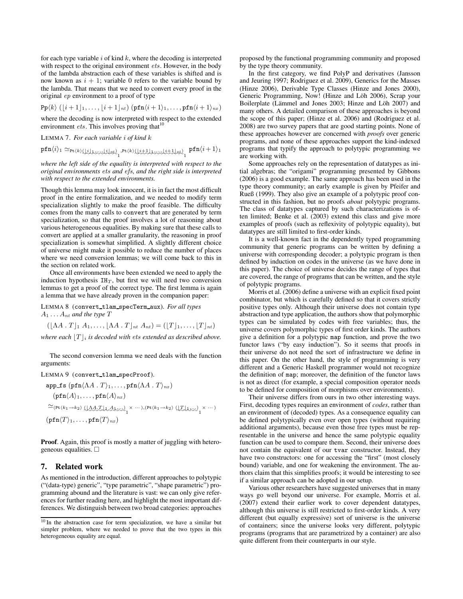for each type variable  $i$  of kind  $k$ , where the decoding is interpreted with respect to the original environment *ets*. However, in the body of the lambda abstraction each of these variables is shifted and is now known as  $i + 1$ ; variable 0 refers to the variable bound by the lambda. That means that we need to convert every proof in the original ep environment to a proof of type

$$
\text{Pp}\langle k \rangle (\lfloor i+1 \rfloor_1, \ldots, \lfloor i+1 \rfloor_{nt}) (\text{pfn}\langle i+1 \rangle_1, \ldots, \text{pfn}\langle i+1 \rangle_{nx})
$$

where the decoding is now interpreted with respect to the extended environment *ets*. This involves proving that  $10$ 

LEMMA 7. *For each variable* i *of kind* k

 $\texttt{pfn}\langle i \rangle_1 \simeq_{\texttt{Pt}(k) \text{ (left-1)}_1} \texttt{pt}(k) \text{ (left-left)}_1, \texttt{pt}(k+1) \texttt{1} \rangle_1 + \texttt{pt}(k) \text{ (right-left)}_2, \texttt{pt}(k+1) \texttt{1} \rangle_1$ 

*where the left side of the equality is interpreted with respect to the original environments* ets *and* efs*, and the right side is interpreted with respect to the extended environments.*

Though this lemma may look innocent, it is in fact the most difficult proof in the entire formalization, and we needed to modify term specialization slightly to make the proof feasible. The difficulty comes from the many calls to convert that are generated by term specialization, so that the proof involves a lot of reasoning about various heterogeneous equalities. By making sure that these calls to convert are applied at a smaller granularity, the reasoning in proof specialization is somewhat simplified. A slightly different choice of universe might make it possible to reduce the number of places where we need conversion lemmas; we will come back to this in the section on related work.

Once all environments have been extended we need to apply the induction hypothesis  $IH_T$ , but first we will need two conversion lemmas to get a proof of the correct type. The first lemma is again a lemma that we have already proven in the companion paper:

LEMMA 8 (convert tlam specTerm aux). *For all types*  $A_1 \ldots A_{nt}$  *and the type*  $T$ 

 $(|\Lambda A \cdot T|_1 A_1, \ldots, |\Lambda A \cdot T|_{nt} A_{nt}) = (|T|_1, \ldots, |T|_{nt})$ 

*where each*  $|T|_i$  *is decoded with ets extended as described above.* 

The second conversion lemma we need deals with the function arguments:

LEMMA 9 (convert\_tlam\_specProof).

$$
\mathbf{app\_fs} \left( \mathbf{pfn} \langle \Lambda A \cdot T \rangle_1, \dots, \mathbf{pfn} \langle \Lambda A \cdot T \rangle_{nx} \right)
$$
\n
$$
\left( \mathbf{pfn} \langle A \rangle_1, \dots, \mathbf{pfn} \langle A \rangle_{nx} \right)
$$
\n
$$
\simeq_{\left( \mathbf{Pt}(k_1 \to k_2) \right)} \left( \underline{\Lambda} \mathbf{A} \cdot \underline{\mathbf{T}} \mathbf{I} \mathbf{A} \mathbf{J} \cdots \right)_1 \times \cdots \right),\n\left( \mathbf{Pt}(k_1 \to k_2) \left( \underline{\mathbf{T}} \mathbf{I} \mathbf{I} \cdots \right)_1 \times \cdots \right)
$$
\n
$$
\left( \mathbf{pfn} \langle T \rangle_1, \dots, \mathbf{pfn} \langle T \rangle_{nx} \right)
$$

**Proof.** Again, this proof is mostly a matter of juggling with heterogeneous equalities.

# **7. Related work**

As mentioned in the introduction, different approaches to polytypic ("(data-type) generic", "type parametric", "shape parametric") programming abound and the literature is vast: we can only give references for further reading here, and highlight the most important differences. We distinguish between two broad categories: approaches

proposed by the functional programming community and proposed by the type theory community.

In the first category, we find PolyP and derivatives (Jansson and Jeuring 1997; Rodriguez et al. 2009), Generics for the Masses (Hinze 2006), Derivable Type Classes (Hinze and Jones 2000), Generic Programming, Now! (Hinze and Löh 2006), Scrap your Boilerplate (Lämmel and Jones 2003; Hinze and Löh 2007) and many others. A detailed comparison of these approaches is beyond the scope of this paper; (Hinze et al. 2006) and (Rodriguez et al. 2008) are two survey papers that are good starting points. None of these approaches however are concerned with *proofs* over generic programs, and none of these approaches support the kind-indexed programs that typify the approach to polytypic programming we are working with.

Some approaches rely on the representation of datatypes as initial algebras; the "origami" programming presented by Gibbons (2006) is a good example. The same approach has been used in the type theory community; an early example is given by Pfeifer and Rueß (1999). They also give an example of a polytypic proof constructed in this fashion, but no proofs *about* polytypic programs. The class of datatypes captured by such characterizations is often limited; Benke et al. (2003) extend this class and give more examples of proofs (such as reflexivity of polytypic equality), but datatypes are still limited to first-order kinds.

It is a well-known fact in the dependently typed programming community that generic programs can be written by defining a universe with corresponding decoder; a polytypic program is then defined by induction on codes in the universe (as we have done in this paper). The choice of universe decides the range of types that are covered, the range of programs that can be written, and the style of polytypic programs.

Morris et al. (2006) define a universe with an explicit fixed point combinator, but which is carefully defined so that it covers strictly positive types only. Although their universe does not contain type abstraction and type application, the authors show that polymorphic types can be simulated by codes with free variables; thus, the universe covers polymorphic types of first order kinds. The authors give a definition for a polytypic map function, and prove the two functor laws ("by easy induction"). So it seems that proofs in their universe do not need the sort of infrastructure we define in this paper. On the other hand, the style of programming is very different and a Generic Haskell programmer would not recognize the definition of map; moreover, the definition of the functor laws is not as direct (for example, a special composition operator needs to be defined for composition of morphisms over environments).

Their universe differs from ours in two other interesting ways. First, decoding types requires an environment of *codes*, rather than an environment of (decoded) types. As a consequence equality can be defined polytypically even over open types (without requiring additional arguments), because even those free types must be representable in the universe and hence the same polytypic equality function can be used to compare them. Second, their universe does not contain the equivalent of our tvar constructor. Instead, they have two constructors: one for accessing the "first" (most closely bound) variable, and one for weakening the environment. The authors claim that this simplifies proofs; it would be interesting to see if a similar approach can be adopted in our setup.

Various other researchers have suggested universes that in many ways go well beyond our universe. For example, Morris et al. (2007) extend their earlier work to cover dependent datatypes, although this universe is still restricted to first-order kinds. A very different (but equally expressive) sort of universe is the universe of containers; since the universe looks very different, polytypic programs (programs that are parametrized by a container) are also quite different from their counterparts in our style.

<sup>&</sup>lt;sup>10</sup> In the abstraction case for term specialization, we have a similar but simpler problem, where we needed to prove that the two types in this heterogeneous equality are equal.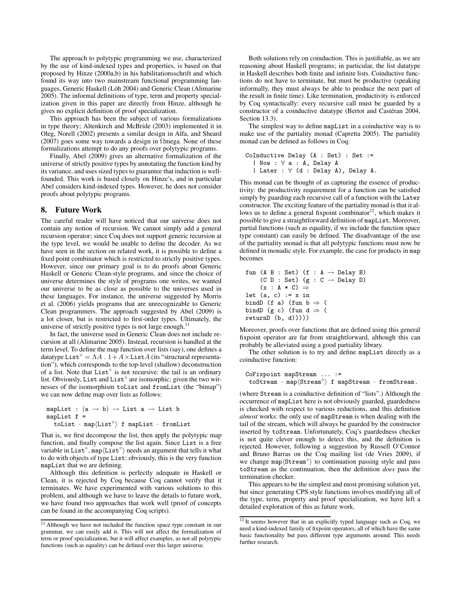The approach to polytypic programming we use, characterized by the use of kind-indexed types and properties, is based on that proposed by Hinze (2000a,b) in his habilitationsschrift and which found its way into two mainstream functional programming languages, Generic Haskell (Löh 2004) and Generic Clean (Alimarine 2005). The informal definitions of type, term and property specialization given in this paper are directly from Hinze, although he gives no explicit definition of proof specialization.

This approach has been the subject of various formalizations in type theory; Altenkirch and McBride (2003) implemented it in Oleg, Norell (2002) presents a similar design in Alfa, and Sheard (2007) goes some way towards a design in  $\Omega$ mega. None of these formalizations attempt to do any proofs over polytypic programs.

Finally, Abel (2009) gives an alternative formalization of the universe of strictly positive types by annotating the function kind by its variance, and uses sized types to guarantee that induction is wellfounded. This work is based closely on Hinze's, and in particular Abel considers kind-indexed types. However, he does not consider proofs about polytypic programs.

## **8. Future Work**

The careful reader will have noticed that our universe does not contain any notion of recursion. We cannot simply add a general recursion operator; since Coq does not support generic recursion at the type level, we would be unable to define the decoder. As we have seen in the section on related work, it is possible to define a fixed point combinator which is restricted to strictly positive types. However, since our primary goal is to do proofs about Generic Haskell or Generic Clean-style programs, and since the choice of universe determines the style of programs one writes, we wanted our universe to be as close as possible to the universes used in these languages. For instance, the universe suggested by Morris et al. (2006) yields programs that are unrecognizable to Generic Clean programmers. The approach suggested by Abel (2009) is a lot closer, but is restricted to first-order types. Ultimately, the universe of strictly positive types is not large enough.<sup>11</sup>

In fact, the universe used in Generic Clean does not include recursion at all (Alimarine 2005). Instead, recursion is handled at the term level. To define the map function over lists (say), one defines a datatype List<sup>°</sup> =  $\Lambda A \cdot 1 + A \times$ List $A$  (its "structural representation"), which corresponds to the top-level (shallow) deconstruction of a list. Note that List<sup>°</sup> is not recursive: the tail is an ordinary list. Obviously, List and List<sup>°</sup> are isomorphic; given the two witnesses of the isomorphism toList and fromList (the "bimap") we can now define map over lists as follows:

mapList :  $(a \rightarrow b) \rightarrow$  List a  $\rightarrow$  List b mapList f =  $\texttt{toList} \cdot \texttt{map}\langle \texttt{List}^{\circ} \rangle$  f mapList  $\cdot$  fromList

That is, we first decompose the list, then apply the polytypic map function, and finally compose the list again. Since List is a free variable in List<sup>°</sup>, map $\langle$ List<sup>°</sup> $\rangle$  needs an argument that tells it what to do with objects of type List: obviously, this is the very function mapList that we are defining.

Although this definition is perfectly adequate in Haskell or Clean, it is rejected by Coq because Coq cannot verify that it terminates. We have experimented with various solutions to this problem, and although we have to leave the details to future work, we have found two approaches that work well (proof of concepts can be found in the accompanying Coq scripts).

Both solutions rely on coinduction. This is justifiable, as we are reasoning about Haskell programs; in particular, the list datatype in Haskell describes both finite and infinite lists. Coinductive functions do not have to terminate, but must be productive (speaking informally, they must always be able to produce the next part of the result in finite time). Like termination, productivity is enforced by Coq syntactically: every recursive call must be guarded by a constructor of a coinductive datatype (Bertot and Castéran 2004, Section 13.3).

The simplest way to define mapList in a coinductive way is to make use of the partiality monad (Capretta 2005). The partiality monad can be defined as follows in Coq:

```
CoInductive Delay (A : Set) : Set :=
  | Now : ∀ a : A, Delay A
  | Later : ∀ (d : Delay A), Delay A.
```
This monad can be thought of as capturing the essence of productivity: the productivity requirement for a function can be satisfied simply by guarding each recursive call of a function with the Later constructor. The exciting feature of the partiality monad is that it allows us to define a general fixpoint combinator<sup>12</sup>, which makes it possible to give a straightforward definition of mapList. Moreover, partial functions (such as equality, if we include the function space type constant) can easily be defined. The disadvantage of the use of the partiality monad is that all polytypic functions must now be defined in monadic style. For example, the case for products in map becomes

```
fun (A B : Set) (f : A \rightarrow Delay B)
     (C D : Set) (g : C \rightarrow Delay D)(x : A * C) \Rightarrowlet (a, c) := x in
bindD (f a) (fun b \Rightarrow (
bindD (g c) (fun d \Rightarrow (
returnD (b, d))))
```
Moreover, proofs over functions that are defined using this general fixpoint operator are far from straightforward, although this can probably be alleviated using a good partiality library.

The other solution is to try and define mapList directly as a coinductive function:

```
CoFixpoint mapStream ... :=
 toStream · map\langleStream°\rangle f mapStream · fromStream.
```
(where Stream is a coinductive definition of "lists".) Although the occurrence of mapList here is not obviously guarded, guardedness is checked with respect to various reductions, and this definition *almost* works: the only use of mapStream is when dealing with the tail of the stream, which will always be guarded by the constructor inserted by toStream. Unfortunately, Coq's guardedness checker is not quite clever enough to detect this, and the definition is rejected. However, following a suggestion by Russell O'Connor and Bruno Barras on the Coq mailing list (de Vries 2009), if we change  $\text{map}( \text{Stream}^\circ \rangle$  to continuation passing style and pass toStream as the continuation, then the definition *does* pass the termination checker.

This appears to be the simplest and most promising solution yet, but since generating CPS style functions involves modifying all of the type, term, property and proof specialization, we have left a detailed exploration of this as future work.

<sup>&</sup>lt;sup>11</sup> Although we have not included the function space type constant in our grammar, we can easily add it. This will not affect the formalization of term or proof specialization, but it will affect examples, as not all polytypic functions (such as equality) can be defined over this larger universe.

 $12$  It seems however that in an explicitly typed language such as Coq, we need a kind-indexed family of fixpoint operators, all of which have the same basic functionality but pass different type arguments around. This needs further research.